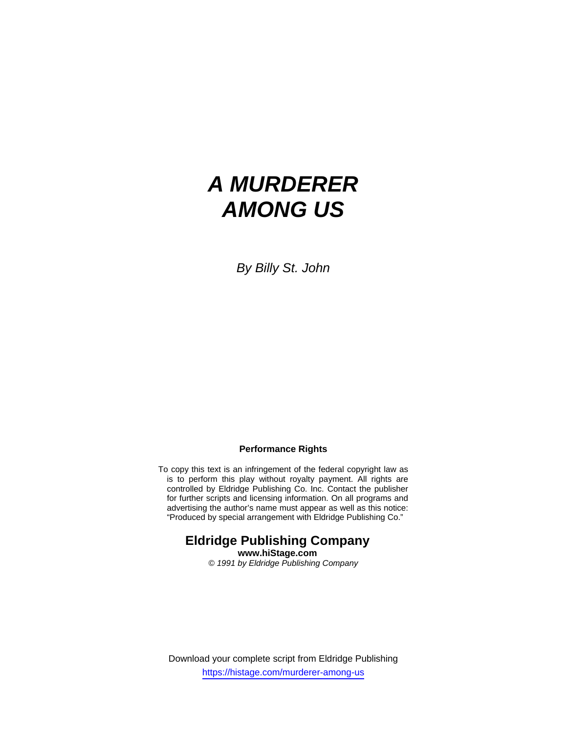# *A MURDERER AMONG US*

*By Billy St. John* 

#### **Performance Rights**

To copy this text is an infringement of the federal copyright law as is to perform this play without royalty payment. All rights are controlled by Eldridge Publishing Co. Inc. Contact the publisher for further scripts and licensing information. On all programs and advertising the author's name must appear as well as this notice: "Produced by special arrangement with Eldridge Publishing Co."

# **Eldridge Publishing Company www.hiStage.com**

*© 1991 by Eldridge Publishing Company* 

Download your complete script from Eldridge Publishing https://histage.com/murderer-among-us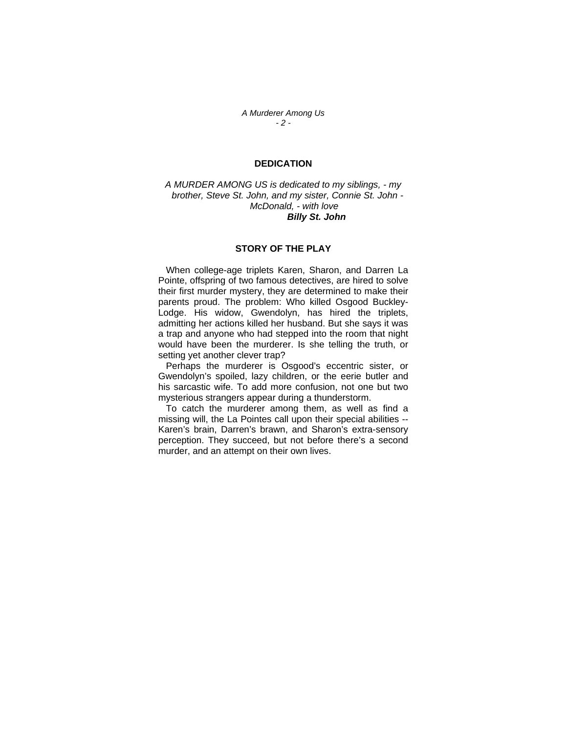*A Murderer Among Us - 2 -* 

### **DEDICATION**

*A MURDER AMONG US is dedicated to my siblings, - my brother, Steve St. John, and my sister, Connie St. John - McDonald, - with love Billy St. John*

#### **STORY OF THE PLAY**

 When college-age triplets Karen, Sharon, and Darren La Pointe, offspring of two famous detectives, are hired to solve their first murder mystery, they are determined to make their parents proud. The problem: Who killed Osgood Buckley-Lodge. His widow, Gwendolyn, has hired the triplets, admitting her actions killed her husband. But she says it was a trap and anyone who had stepped into the room that night would have been the murderer. Is she telling the truth, or setting yet another clever trap?

 Perhaps the murderer is Osgood's eccentric sister, or Gwendolyn's spoiled, lazy children, or the eerie butler and his sarcastic wife. To add more confusion, not one but two mysterious strangers appear during a thunderstorm.

 To catch the murderer among them, as well as find a missing will, the La Pointes call upon their special abilities -- Karen's brain, Darren's brawn, and Sharon's extra-sensory perception. They succeed, but not before there's a second murder, and an attempt on their own lives.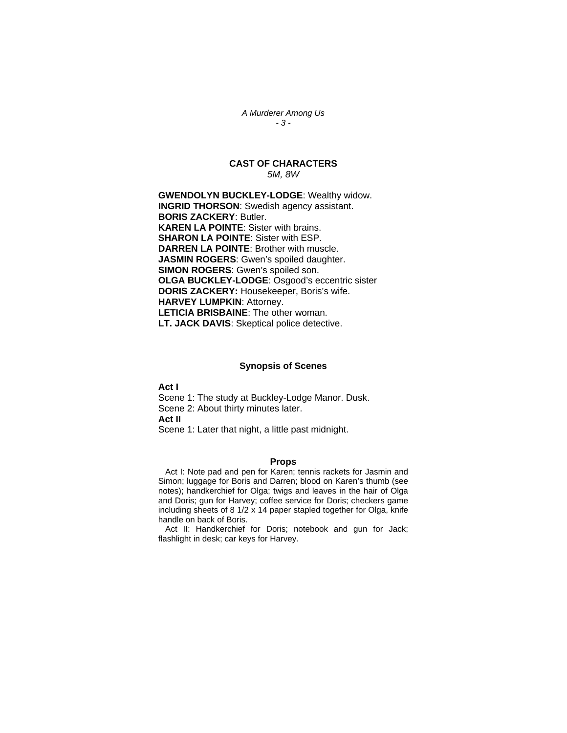*A Murderer Among Us - 3 -* 

## **CAST OF CHARACTERS**  *5M, 8W*

**GWENDOLYN BUCKLEY-LODGE**: Wealthy widow. **INGRID THORSON**: Swedish agency assistant. **BORIS ZACKERY**: Butler. **KAREN LA POINTE**: Sister with brains. **SHARON LA POINTE**: Sister with ESP. **DARREN LA POINTE**: Brother with muscle. **JASMIN ROGERS**: Gwen's spoiled daughter. **SIMON ROGERS**: Gwen's spoiled son. **OLGA BUCKLEY-LODGE**: Osgood's eccentric sister **DORIS ZACKERY:** Housekeeper, Boris's wife. **HARVEY LUMPKIN**: Attorney. **LETICIA BRISBAINE**: The other woman. **LT. JACK DAVIS**: Skeptical police detective.

#### **Synopsis of Scenes**

**Act I**  Scene 1: The study at Buckley-Lodge Manor. Dusk. Scene 2: About thirty minutes later. **Act II**  Scene 1: Later that night, a little past midnight.

#### **Props**

 Act I: Note pad and pen for Karen; tennis rackets for Jasmin and Simon; luggage for Boris and Darren; blood on Karen's thumb (see notes); handkerchief for Olga; twigs and leaves in the hair of Olga and Doris; gun for Harvey; coffee service for Doris; checkers game including sheets of 8 1/2 x 14 paper stapled together for Olga, knife handle on back of Boris.

 Act II: Handkerchief for Doris; notebook and gun for Jack; flashlight in desk; car keys for Harvey.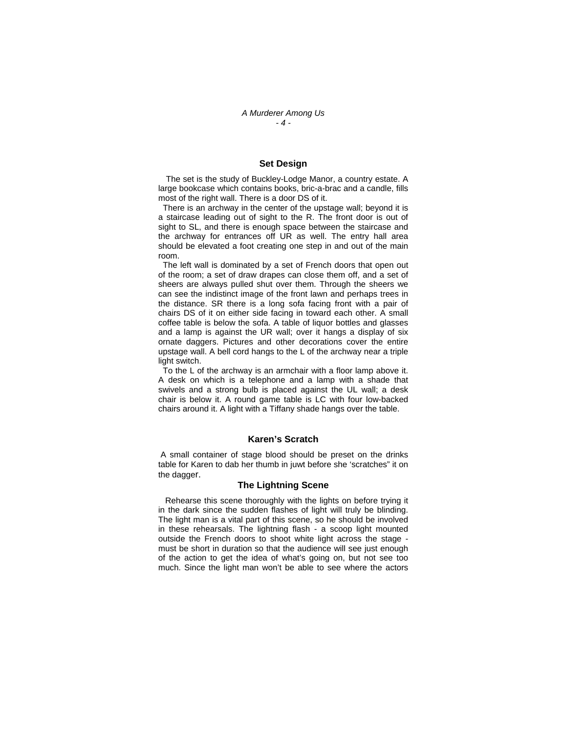#### **Set Design**

 The set is the study of Buckley-Lodge Manor, a country estate. A large bookcase which contains books, bric-a-brac and a candle, fills most of the right wall. There is a door DS of it.

 There is an archway in the center of the upstage wall; beyond it is a staircase leading out of sight to the R. The front door is out of sight to SL, and there is enough space between the staircase and the archway for entrances off UR as well. The entry hall area should be elevated a foot creating one step in and out of the main room.

 The left wall is dominated by a set of French doors that open out of the room; a set of draw drapes can close them off, and a set of sheers are always pulled shut over them. Through the sheers we can see the indistinct image of the front lawn and perhaps trees in the distance. SR there is a long sofa facing front with a pair of chairs DS of it on either side facing in toward each other. A small coffee table is below the sofa. A table of liquor bottles and glasses and a lamp is against the UR wall; over it hangs a display of six ornate daggers. Pictures and other decorations cover the entire upstage wall. A bell cord hangs to the L of the archway near a triple light switch.

 To the L of the archway is an armchair with a floor lamp above it. A desk on which is a telephone and a lamp with a shade that swivels and a strong bulb is placed against the UL wall; a desk chair is below it. A round game table is LC with four low-backed chairs around it. A light with a Tiffany shade hangs over the table.

#### **Karen's Scratch**

 A small container of stage blood should be preset on the drinks table for Karen to dab her thumb in juwt before she 'scratches" it on the dagger.

#### **The Lightning Scene**

 Rehearse this scene thoroughly with the lights on before trying it in the dark since the sudden flashes of light will truly be blinding. The light man is a vital part of this scene, so he should be involved in these rehearsals. The lightning flash - a scoop light mounted outside the French doors to shoot white light across the stage must be short in duration so that the audience will see just enough of the action to get the idea of what's going on, but not see too much. Since the light man won't be able to see where the actors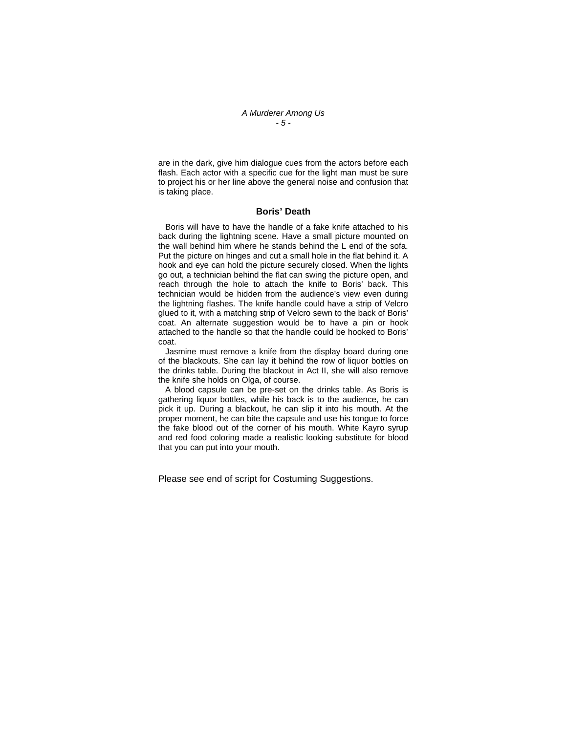#### *A Murderer Among Us - 5 -*

are in the dark, give him dialogue cues from the actors before each flash. Each actor with a specific cue for the light man must be sure to project his or her line above the general noise and confusion that is taking place.

#### **Boris' Death**

 Boris will have to have the handle of a fake knife attached to his back during the lightning scene. Have a small picture mounted on the wall behind him where he stands behind the L end of the sofa. Put the picture on hinges and cut a small hole in the flat behind it. A hook and eye can hold the picture securely closed. When the lights go out, a technician behind the flat can swing the picture open, and reach through the hole to attach the knife to Boris' back. This technician would be hidden from the audience's view even during the lightning flashes. The knife handle could have a strip of Velcro glued to it, with a matching strip of Velcro sewn to the back of Boris' coat. An alternate suggestion would be to have a pin or hook attached to the handle so that the handle could be hooked to Boris' coat.

 Jasmine must remove a knife from the display board during one of the blackouts. She can lay it behind the row of liquor bottles on the drinks table. During the blackout in Act II, she will also remove the knife she holds on Olga, of course.

 A blood capsule can be pre-set on the drinks table. As Boris is gathering liquor bottles, while his back is to the audience, he can pick it up. During a blackout, he can slip it into his mouth. At the proper moment, he can bite the capsule and use his tongue to force the fake blood out of the corner of his mouth. White Kayro syrup and red food coloring made a realistic looking substitute for blood that you can put into your mouth.

Please see end of script for Costuming Suggestions.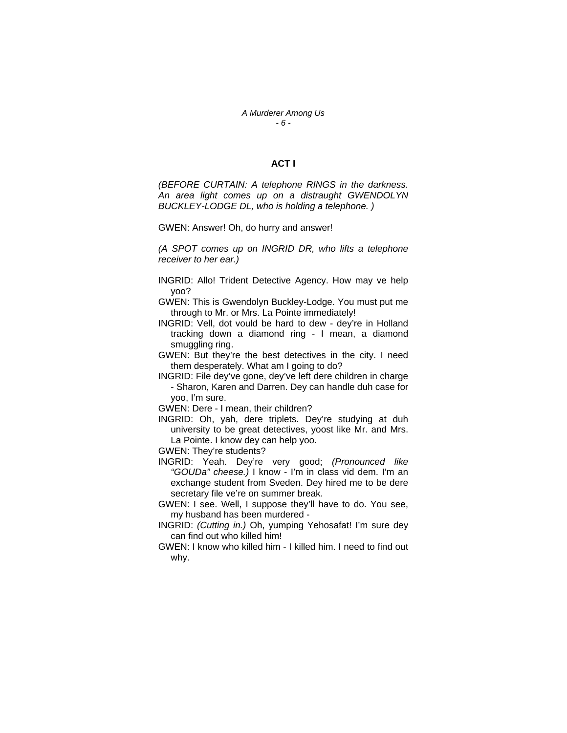#### *A Murderer Among Us - 6 -*

# **ACT I**

*(BEFORE CURTAIN: A telephone RINGS in the darkness. An area light comes up on a distraught GWENDOLYN BUCKLEY-LODGE DL, who is holding a telephone. )* 

GWEN: Answer! Oh, do hurry and answer!

*(A SPOT comes up on INGRID DR, who lifts a telephone receiver to her ear.)* 

- INGRID: Allo! Trident Detective Agency. How may ve help yoo?
- GWEN: This is Gwendolyn Buckley-Lodge. You must put me through to Mr. or Mrs. La Pointe immediately!
- INGRID: Vell, dot vould be hard to dew dey're in Holland tracking down a diamond ring - I mean, a diamond smuggling ring.
- GWEN: But they're the best detectives in the city. I need them desperately. What am I going to do?
- INGRID: File dey've gone, dey've left dere children in charge - Sharon, Karen and Darren. Dey can handle duh case for yoo, I'm sure.

GWEN: Dere - I mean, their children?

- INGRID: Oh, yah, dere triplets. Dey're studying at duh university to be great detectives, yoost like Mr. and Mrs. La Pointe. I know dey can help yoo.
- GWEN: They're students?
- INGRID: Yeah. Dey're very good; *(Pronounced like "GOUDa" cheese.)* I know - I'm in class vid dem. I'm an exchange student from Sveden. Dey hired me to be dere secretary file ve're on summer break.
- GWEN: I see. Well, I suppose they'll have to do. You see, my husband has been murdered -
- INGRID: *(Cutting in.)* Oh, yumping Yehosafat! I'm sure dey can find out who killed him!
- GWEN: I know who killed him I killed him. I need to find out why.